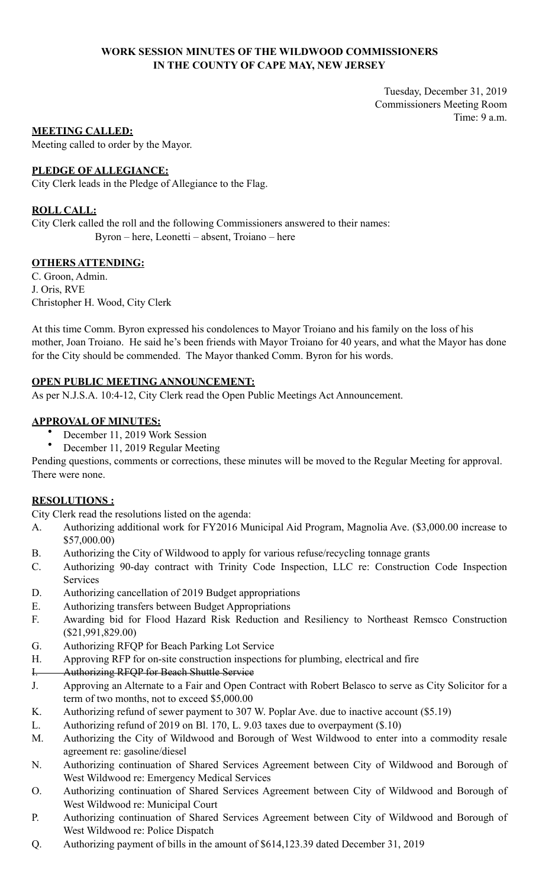## **WORK SESSION MINUTES OF THE WILDWOOD COMMISSIONERS IN THE COUNTY OF CAPE MAY, NEW JERSEY**

Tuesday, December 31, 2019 Commissioners Meeting Room Time: 9 a.m.

## **MEETING CALLED:**

Meeting called to order by the Mayor.

## **PLEDGE OF ALLEGIANCE:**

City Clerk leads in the Pledge of Allegiance to the Flag.

## **ROLL CALL:**

City Clerk called the roll and the following Commissioners answered to their names: Byron – here, Leonetti – absent, Troiano – here

## **OTHERS ATTENDING:**

C. Groon, Admin. J. Oris, RVE Christopher H. Wood, City Clerk

At this time Comm. Byron expressed his condolences to Mayor Troiano and his family on the loss of his mother, Joan Troiano. He said he's been friends with Mayor Troiano for 40 years, and what the Mayor has done for the City should be commended. The Mayor thanked Comm. Byron for his words.

## **OPEN PUBLIC MEETING ANNOUNCEMENT:**

As per N.J.S.A. 10:4-12, City Clerk read the Open Public Meetings Act Announcement.

## **APPROVAL OF MINUTES:**

- December 11, 2019 Work Session
- December 11, 2019 Regular Meeting

Pending questions, comments or corrections, these minutes will be moved to the Regular Meeting for approval. There were none.

# **RESOLUTIONS :**

City Clerk read the resolutions listed on the agenda:

- A. Authorizing additional work for FY2016 Municipal Aid Program, Magnolia Ave. (\$3,000.00 increase to \$57,000.00)
- B. Authorizing the City of Wildwood to apply for various refuse/recycling tonnage grants
- C. Authorizing 90-day contract with Trinity Code Inspection, LLC re: Construction Code Inspection Services
- D. Authorizing cancellation of 2019 Budget appropriations
- E. Authorizing transfers between Budget Appropriations
- F. Awarding bid for Flood Hazard Risk Reduction and Resiliency to Northeast Remsco Construction (\$21,991,829.00)
- G. Authorizing RFQP for Beach Parking Lot Service
- H. Approving RFP for on-site construction inspections for plumbing, electrical and fire
- I. Authorizing RFQP for Beach Shuttle Service
- J. Approving an Alternate to a Fair and Open Contract with Robert Belasco to serve as City Solicitor for a term of two months, not to exceed \$5,000.00
- K. Authorizing refund of sewer payment to 307 W. Poplar Ave. due to inactive account (\$5.19)
- L. Authorizing refund of 2019 on Bl. 170, L. 9.03 taxes due to overpayment (\$.10)
- M. Authorizing the City of Wildwood and Borough of West Wildwood to enter into a commodity resale agreement re: gasoline/diesel
- N. Authorizing continuation of Shared Services Agreement between City of Wildwood and Borough of West Wildwood re: Emergency Medical Services
- O. Authorizing continuation of Shared Services Agreement between City of Wildwood and Borough of West Wildwood re: Municipal Court
- P. Authorizing continuation of Shared Services Agreement between City of Wildwood and Borough of West Wildwood re: Police Dispatch
- Q. Authorizing payment of bills in the amount of \$614,123.39 dated December 31, 2019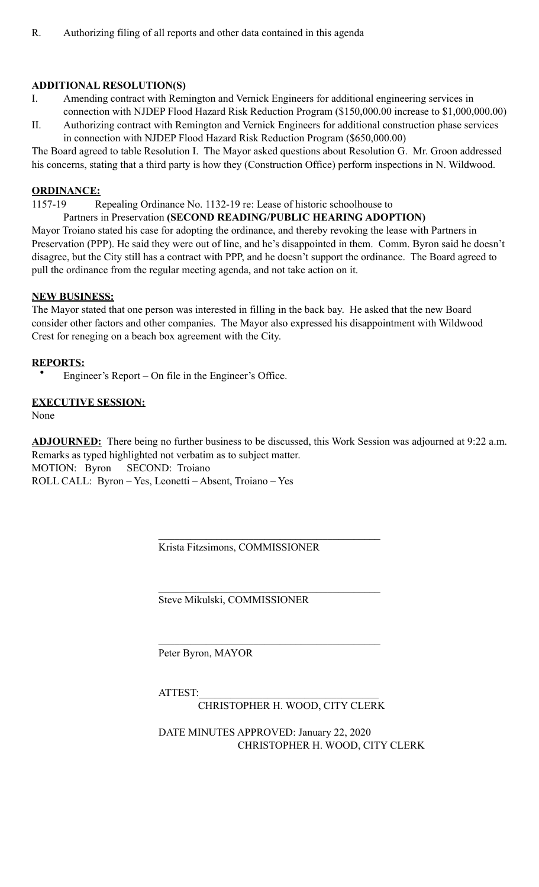# **ADDITIONAL RESOLUTION(S)**

- I. Amending contract with Remington and Vernick Engineers for additional engineering services in connection with NJDEP Flood Hazard Risk Reduction Program (\$150,000.00 increase to \$1,000,000.00)
- II. Authorizing contract with Remington and Vernick Engineers for additional construction phase services in connection with NJDEP Flood Hazard Risk Reduction Program (\$650,000.00)

The Board agreed to table Resolution I. The Mayor asked questions about Resolution G. Mr. Groon addressed his concerns, stating that a third party is how they (Construction Office) perform inspections in N. Wildwood.

#### **ORDINANCE:**

1157-19 Repealing Ordinance No. 1132-19 re: Lease of historic schoolhouse to

## Partners in Preservation **(SECOND READING/PUBLIC HEARING ADOPTION)**

Mayor Troiano stated his case for adopting the ordinance, and thereby revoking the lease with Partners in Preservation (PPP). He said they were out of line, and he's disappointed in them. Comm. Byron said he doesn't disagree, but the City still has a contract with PPP, and he doesn't support the ordinance. The Board agreed to pull the ordinance from the regular meeting agenda, and not take action on it.

## **NEW BUSINESS:**

The Mayor stated that one person was interested in filling in the back bay. He asked that the new Board consider other factors and other companies. The Mayor also expressed his disappointment with Wildwood Crest for reneging on a beach box agreement with the City.

## **REPORTS:**

• Engineer's Report – On file in the Engineer's Office.

# **EXECUTIVE SESSION:**

None

**ADJOURNED:** There being no further business to be discussed, this Work Session was adjourned at 9:22 a.m. Remarks as typed highlighted not verbatim as to subject matter. MOTION: Byron SECOND: Troiano ROLL CALL: Byron – Yes, Leonetti – Absent, Troiano – Yes

Krista Fitzsimons, COMMISSIONER

Steve Mikulski, COMMISSIONER

 $\mathcal{L}_\mathcal{L} = \mathcal{L}_\mathcal{L} = \mathcal{L}_\mathcal{L} = \mathcal{L}_\mathcal{L} = \mathcal{L}_\mathcal{L} = \mathcal{L}_\mathcal{L} = \mathcal{L}_\mathcal{L} = \mathcal{L}_\mathcal{L} = \mathcal{L}_\mathcal{L} = \mathcal{L}_\mathcal{L} = \mathcal{L}_\mathcal{L} = \mathcal{L}_\mathcal{L} = \mathcal{L}_\mathcal{L} = \mathcal{L}_\mathcal{L} = \mathcal{L}_\mathcal{L} = \mathcal{L}_\mathcal{L} = \mathcal{L}_\mathcal{L}$ Peter Byron, MAYOR

 $\mathcal{L}_\mathcal{L} = \mathcal{L}_\mathcal{L} = \mathcal{L}_\mathcal{L} = \mathcal{L}_\mathcal{L} = \mathcal{L}_\mathcal{L} = \mathcal{L}_\mathcal{L} = \mathcal{L}_\mathcal{L} = \mathcal{L}_\mathcal{L} = \mathcal{L}_\mathcal{L} = \mathcal{L}_\mathcal{L} = \mathcal{L}_\mathcal{L} = \mathcal{L}_\mathcal{L} = \mathcal{L}_\mathcal{L} = \mathcal{L}_\mathcal{L} = \mathcal{L}_\mathcal{L} = \mathcal{L}_\mathcal{L} = \mathcal{L}_\mathcal{L}$ 

 $\mathcal{L}_\mathcal{L} = \mathcal{L}_\mathcal{L} = \mathcal{L}_\mathcal{L} = \mathcal{L}_\mathcal{L} = \mathcal{L}_\mathcal{L} = \mathcal{L}_\mathcal{L} = \mathcal{L}_\mathcal{L} = \mathcal{L}_\mathcal{L} = \mathcal{L}_\mathcal{L} = \mathcal{L}_\mathcal{L} = \mathcal{L}_\mathcal{L} = \mathcal{L}_\mathcal{L} = \mathcal{L}_\mathcal{L} = \mathcal{L}_\mathcal{L} = \mathcal{L}_\mathcal{L} = \mathcal{L}_\mathcal{L} = \mathcal{L}_\mathcal{L}$ 

ATTEST:

CHRISTOPHER H. WOOD, CITY CLERK

 DATE MINUTES APPROVED: January 22, 2020 CHRISTOPHER H. WOOD, CITY CLERK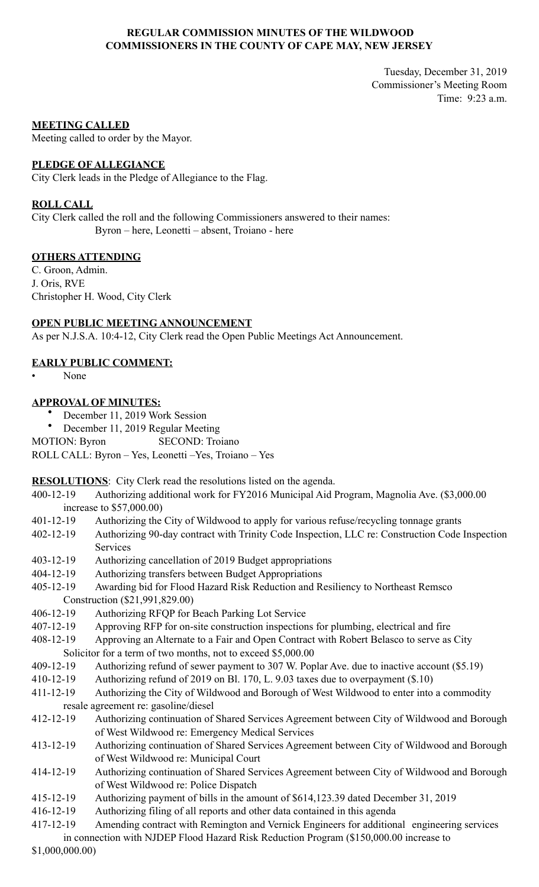## **REGULAR COMMISSION MINUTES OF THE WILDWOOD COMMISSIONERS IN THE COUNTY OF CAPE MAY, NEW JERSEY**

Tuesday, December 31, 2019 Commissioner's Meeting Room Time: 9:23 a.m.

#### **MEETING CALLED**

Meeting called to order by the Mayor.

#### **PLEDGE OF ALLEGIANCE**

City Clerk leads in the Pledge of Allegiance to the Flag.

#### **ROLL CALL**

City Clerk called the roll and the following Commissioners answered to their names: Byron – here, Leonetti – absent, Troiano - here

#### **OTHERS ATTENDING**

C. Groon, Admin. J. Oris, RVE Christopher H. Wood, City Clerk

## **OPEN PUBLIC MEETING ANNOUNCEMENT**

As per N.J.S.A. 10:4-12, City Clerk read the Open Public Meetings Act Announcement.

## **EARLY PUBLIC COMMENT:**

• None

## **APPROVAL OF MINUTES:**

- December 11, 2019 Work Session
- December 11, 2019 Regular Meeting

MOTION: Byron SECOND: Troiano

ROLL CALL: Byron – Yes, Leonetti –Yes, Troiano – Yes

**RESOLUTIONS**: City Clerk read the resolutions listed on the agenda.

- 400-12-19 Authorizing additional work for FY2016 Municipal Aid Program, Magnolia Ave. (\$3,000.00 increase to \$57,000.00)
- 401-12-19 Authorizing the City of Wildwood to apply for various refuse/recycling tonnage grants
- 402-12-19 Authorizing 90-day contract with Trinity Code Inspection, LLC re: Construction Code Inspection Services
- 403-12-19 Authorizing cancellation of 2019 Budget appropriations
- 404-12-19 Authorizing transfers between Budget Appropriations
- 405-12-19 Awarding bid for Flood Hazard Risk Reduction and Resiliency to Northeast Remsco Construction (\$21,991,829.00)
- 406-12-19 Authorizing RFQP for Beach Parking Lot Service
- 407-12-19 Approving RFP for on-site construction inspections for plumbing, electrical and fire
- 408-12-19 Approving an Alternate to a Fair and Open Contract with Robert Belasco to serve as City Solicitor for a term of two months, not to exceed \$5,000.00
- 409-12-19 Authorizing refund of sewer payment to 307 W. Poplar Ave. due to inactive account (\$5.19)
- 410-12-19 Authorizing refund of 2019 on Bl. 170, L. 9.03 taxes due to overpayment (\$.10)
- 411-12-19 Authorizing the City of Wildwood and Borough of West Wildwood to enter into a commodity resale agreement re: gasoline/diesel
- 412-12-19 Authorizing continuation of Shared Services Agreement between City of Wildwood and Borough of West Wildwood re: Emergency Medical Services
- 413-12-19 Authorizing continuation of Shared Services Agreement between City of Wildwood and Borough of West Wildwood re: Municipal Court
- 414-12-19 Authorizing continuation of Shared Services Agreement between City of Wildwood and Borough of West Wildwood re: Police Dispatch
- 415-12-19 Authorizing payment of bills in the amount of \$614,123.39 dated December 31, 2019
- 416-12-19 Authorizing filing of all reports and other data contained in this agenda
- 417-12-19 Amending contract with Remington and Vernick Engineers for additional engineering services

 in connection with NJDEP Flood Hazard Risk Reduction Program (\$150,000.00 increase to \$1,000,000.00)